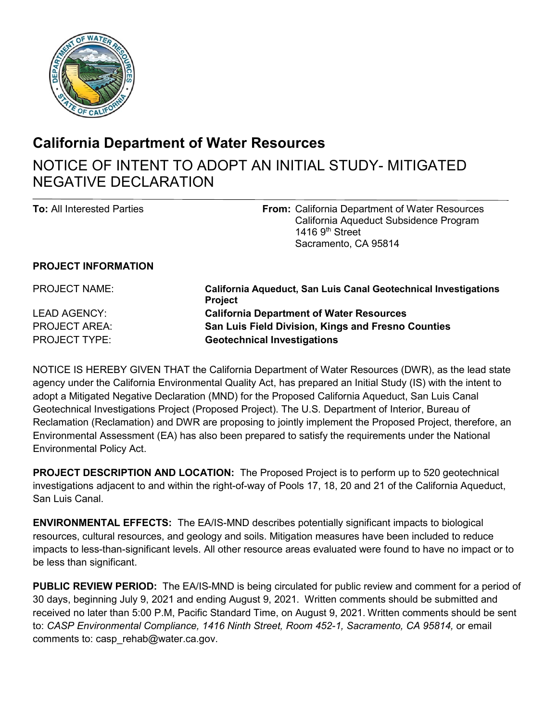

## **California Department of Water Resources**

## NOTICE OF INTENT TO ADOPT AN INITIAL STUDY- MITIGATED NEGATIVE DECLARATION

| <b>To:</b> All Interested Parties                                                   |                                                       |
|-------------------------------------------------------------------------------------|-------------------------------------------------------|
| California Aqueduct Subsidence Program<br>1416 $9th$ Street<br>Sacramento, CA 95814 | <b>From:</b> California Department of Water Resources |

## **PROJECT INFORMATION**

 LEAD AGENCY: **California Department of Water Resources**  PROJECT NAME: **California Aqueduct, San Luis Canal Geotechnical Investigations Project**  PROJECT AREA: **San Luis Field Division, Kings and Fresno Counties**  PROJECT TYPE: **Geotechnical Investigations** 

 NOTICE IS HEREBY GIVEN THAT the California Department of Water Resources (DWR), as the lead state agency under the California Environmental Quality Act, has prepared an Initial Study (IS) with the intent to Geotechnical Investigations Project (Proposed Project). The U.S. Department of Interior, Bureau of adopt a Mitigated Negative Declaration (MND) for the Proposed California Aqueduct, San Luis Canal Reclamation (Reclamation) and DWR are proposing to jointly implement the Proposed Project, therefore, an Environmental Assessment (EA) has also been prepared to satisfy the requirements under the National Environmental Policy Act.

 **PROJECT DESCRIPTION AND LOCATION:** The Proposed Project is to perform up to 520 geotechnical investigations adjacent to and within the right-of-way of Pools 17, 18, 20 and 21 of the California Aqueduct, San Luis Canal.

 **ENVIRONMENTAL EFFECTS:** The EA/IS-MND describes potentially significant impacts to biological resources, cultural resources, and geology and soils. Mitigation measures have been included to reduce impacts to less-than-significant levels. All other resource areas evaluated were found to have no impact or to be less than significant.

 **PUBLIC REVIEW PERIOD:** The EA/IS-MND is being circulated for public review and comment for a period of 30 days, beginning July 9, 2021 and ending August 9, 2021. Written comments should be submitted and received no later than 5:00 P.M, Pacific Standard Time, on August 9, 2021. Written comments should be sent to: *CASP Environmental Compliance, 1416 Ninth Street, Room 452-1, Sacramento, CA 95814,* or email comments to: [casp\\_rehab@water.ca.gov](mailto:casp_rehab@water.ca.gov).